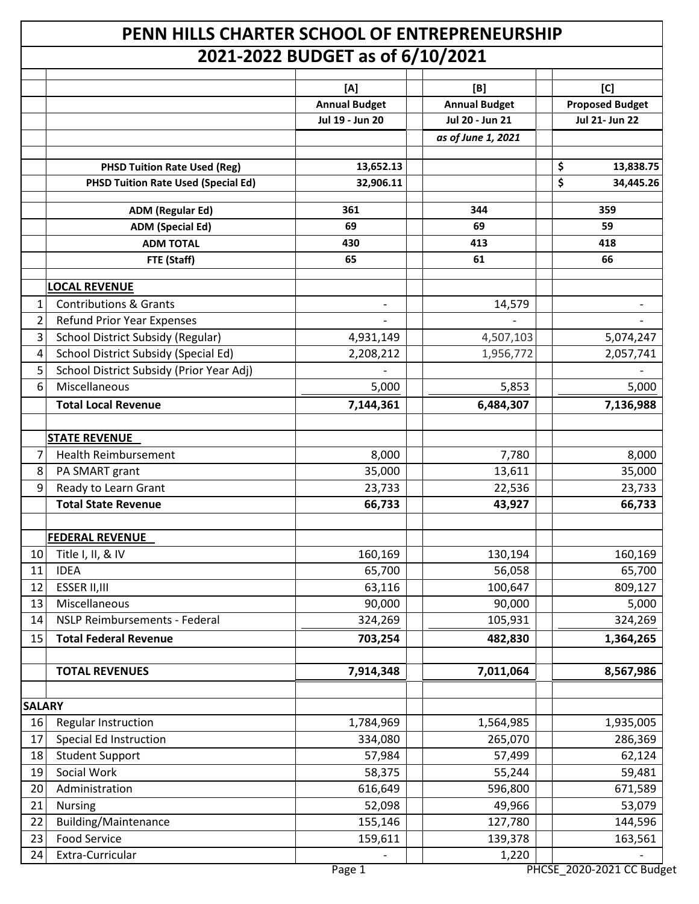## **PENN HILLS CHARTER SCHOOL OF ENTREPRENEURSHIP 2021-2022 BUDGET as of 6/10/2021**

|                |                                                       | ULI LULL DUDULI GJ UI UJ 10/LULI |                      |                        |
|----------------|-------------------------------------------------------|----------------------------------|----------------------|------------------------|
|                |                                                       | [A]                              | [B]                  | [C]                    |
|                |                                                       | <b>Annual Budget</b>             | <b>Annual Budget</b> | <b>Proposed Budget</b> |
|                |                                                       | Jul 19 - Jun 20                  | Jul 20 - Jun 21      | <b>Jul 21- Jun 22</b>  |
|                |                                                       |                                  | as of June 1, 2021   |                        |
|                |                                                       |                                  |                      |                        |
|                | <b>PHSD Tuition Rate Used (Reg)</b>                   | 13,652.13                        |                      | \$<br>13,838.75        |
|                | <b>PHSD Tuition Rate Used (Special Ed)</b>            | 32,906.11                        |                      | \$<br>34,445.26        |
|                | <b>ADM (Regular Ed)</b>                               | 361                              | 344                  | 359                    |
|                | <b>ADM</b> (Special Ed)                               | 69                               | 69                   | 59                     |
|                | <b>ADM TOTAL</b>                                      | 430                              | 413                  | 418                    |
|                | FTE (Staff)                                           | 65                               | 61                   | 66                     |
|                | <b>LOCAL REVENUE</b>                                  |                                  |                      |                        |
| $\mathbf{1}$   | <b>Contributions &amp; Grants</b>                     |                                  | 14,579               |                        |
| $\overline{2}$ | <b>Refund Prior Year Expenses</b>                     |                                  |                      |                        |
| 3              | <b>School District Subsidy (Regular)</b>              | 4,931,149                        | 4,507,103            | 5,074,247              |
| 4              | School District Subsidy (Special Ed)                  | 2,208,212                        | 1,956,772            | 2,057,741              |
| 5              | School District Subsidy (Prior Year Adj)              |                                  |                      |                        |
| 6              | Miscellaneous                                         | 5,000                            | 5,853                | 5,000                  |
|                | <b>Total Local Revenue</b>                            | 7,144,361                        | 6,484,307            | 7,136,988              |
|                |                                                       |                                  |                      |                        |
|                | <b>STATE REVENUE</b>                                  |                                  |                      |                        |
| 7              | <b>Health Reimbursement</b>                           | 8,000                            | 7,780                | 8,000                  |
| 8              | PA SMART grant                                        | 35,000                           | 13,611               | 35,000                 |
| $\overline{9}$ | Ready to Learn Grant                                  | 23,733                           | 22,536               | 23,733                 |
|                | <b>Total State Revenue</b>                            | 66,733                           | 43,927               | 66,733                 |
|                |                                                       |                                  |                      |                        |
|                | <b>FEDERAL REVENUE</b>                                |                                  |                      |                        |
| 10             | Title I, II, & IV                                     | 160,169                          | 130,194              | 160,169                |
| 11             | <b>IDEA</b>                                           | 65,700                           | 56,058               | 65,700                 |
| 12             | ESSER II, III                                         | 63,116                           | 100,647              | 809,127                |
| 13             | Miscellaneous<br><b>NSLP Reimbursements - Federal</b> | 90,000<br>324,269                | 90,000<br>105,931    | 5,000                  |
| 14             | <b>Total Federal Revenue</b>                          |                                  |                      | 324,269                |
| 15             |                                                       | 703,254                          | 482,830              | 1,364,265              |
|                | <b>TOTAL REVENUES</b>                                 | 7,914,348                        | 7,011,064            | 8,567,986              |
|                |                                                       |                                  |                      |                        |
| <b>SALARY</b>  |                                                       |                                  |                      |                        |
| 16             | Regular Instruction                                   | 1,784,969                        | 1,564,985            | 1,935,005              |
| 17             | <b>Special Ed Instruction</b>                         | 334,080                          | 265,070              | 286,369                |
| 18             | <b>Student Support</b>                                | 57,984                           | 57,499               | 62,124                 |
| 19             | Social Work                                           | 58,375                           | 55,244               | 59,481                 |
| 20             | Administration                                        | 616,649                          | 596,800              | 671,589                |
| 21             | <b>Nursing</b>                                        | 52,098                           | 49,966               | 53,079                 |
| 22             | <b>Building/Maintenance</b>                           | 155,146                          | 127,780              | 144,596                |
| 23             | <b>Food Service</b>                                   | 159,611                          | 139,378              | 163,561                |
| 24             | Extra-Curricular                                      |                                  | 1,220                |                        |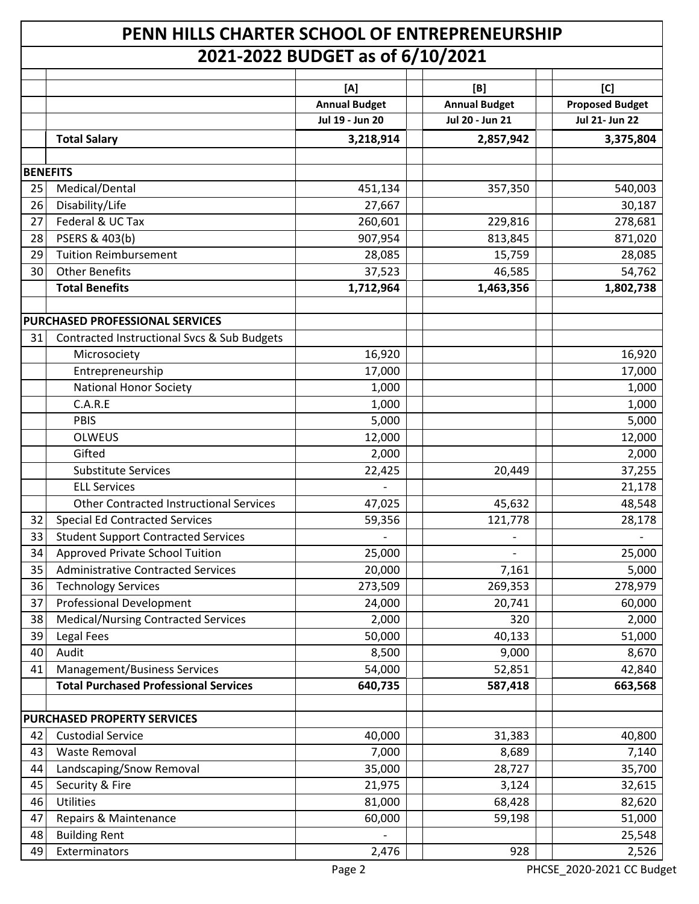| PENN HILLS CHARTER SCHOOL OF ENTREPRENEURSHIP |                                                |                      |                      |                        |  |
|-----------------------------------------------|------------------------------------------------|----------------------|----------------------|------------------------|--|
|                                               | 2021-2022 BUDGET as of 6/10/2021               |                      |                      |                        |  |
|                                               |                                                | [A]                  | [B]                  | [C]                    |  |
|                                               |                                                | <b>Annual Budget</b> | <b>Annual Budget</b> | <b>Proposed Budget</b> |  |
|                                               |                                                | Jul 19 - Jun 20      | Jul 20 - Jun 21      | Jul 21- Jun 22         |  |
|                                               | <b>Total Salary</b>                            | 3,218,914            | 2,857,942            | 3,375,804              |  |
|                                               |                                                |                      |                      |                        |  |
| <b>BENEFITS</b>                               |                                                |                      |                      |                        |  |
| 25                                            | Medical/Dental                                 | 451,134              | 357,350              | 540,003                |  |
| 26                                            | Disability/Life                                | 27,667               |                      | 30,187                 |  |
| 27                                            | Federal & UC Tax                               | 260,601              | 229,816              | 278,681                |  |
| 28                                            | PSERS & 403(b)                                 | 907,954              | 813,845              | 871,020                |  |
| 29                                            | <b>Tuition Reimbursement</b>                   | 28,085               | 15,759               | 28,085                 |  |
| 30                                            | <b>Other Benefits</b>                          | 37,523               | 46,585               | 54,762                 |  |
|                                               | <b>Total Benefits</b>                          | 1,712,964            | 1,463,356            | 1,802,738              |  |
|                                               | <b>PURCHASED PROFESSIONAL SERVICES</b>         |                      |                      |                        |  |
| 31                                            | Contracted Instructional Svcs & Sub Budgets    |                      |                      |                        |  |
|                                               | Microsociety                                   | 16,920               |                      | 16,920                 |  |
|                                               | Entrepreneurship                               | 17,000               |                      | 17,000                 |  |
|                                               | <b>National Honor Society</b>                  | 1,000                |                      | 1,000                  |  |
|                                               | C.A.R.E                                        | 1,000                |                      | 1,000                  |  |
|                                               | <b>PBIS</b>                                    | 5,000                |                      | 5,000                  |  |
|                                               | <b>OLWEUS</b>                                  | 12,000               |                      | 12,000                 |  |
|                                               | Gifted                                         | 2,000                |                      | 2,000                  |  |
|                                               | <b>Substitute Services</b>                     | 22,425               | 20,449               | 37,255                 |  |
|                                               | <b>ELL Services</b>                            |                      |                      | 21,178                 |  |
|                                               | <b>Other Contracted Instructional Services</b> | 47,025               | 45,632               | 48,548                 |  |
| 32                                            | <b>Special Ed Contracted Services</b>          | 59,356               | 121,778              | 28,178                 |  |
| 33                                            | <b>Student Support Contracted Services</b>     |                      |                      |                        |  |
| 34                                            | Approved Private School Tuition                | 25,000               |                      | 25,000                 |  |
| 35                                            | <b>Administrative Contracted Services</b>      | 20,000               | 7,161                | 5,000                  |  |
| 36                                            | <b>Technology Services</b>                     | 273,509              | 269,353              | 278,979                |  |
| 37                                            | <b>Professional Development</b>                | 24,000               | 20,741               | 60,000                 |  |
| 38                                            | <b>Medical/Nursing Contracted Services</b>     | 2,000                | 320                  | 2,000                  |  |
| 39                                            | <b>Legal Fees</b>                              | 50,000               | 40,133               | 51,000                 |  |
| 40                                            | Audit                                          | 8,500                | 9,000                | 8,670                  |  |
| 41                                            | <b>Management/Business Services</b>            | 54,000               | 52,851               | 42,840                 |  |
|                                               | <b>Total Purchased Professional Services</b>   | 640,735              | 587,418              | 663,568                |  |
|                                               |                                                |                      |                      |                        |  |
|                                               | PURCHASED PROPERTY SERVICES                    |                      |                      |                        |  |
| 42                                            | <b>Custodial Service</b>                       | 40,000               | 31,383               | 40,800                 |  |
| 43                                            | Waste Removal                                  | 7,000                | 8,689                | 7,140                  |  |
| 44                                            | Landscaping/Snow Removal                       | 35,000               | 28,727               | 35,700                 |  |
| 45                                            | Security & Fire                                | 21,975               | 3,124                | 32,615                 |  |
| 46                                            | Utilities                                      | 81,000               | 68,428               | 82,620                 |  |
| 47                                            | Repairs & Maintenance                          | 60,000               | 59,198               | 51,000                 |  |
| 48                                            | <b>Building Rent</b>                           |                      |                      | 25,548                 |  |
| 49                                            | Exterminators                                  | 2,476                | 928                  | 2,526                  |  |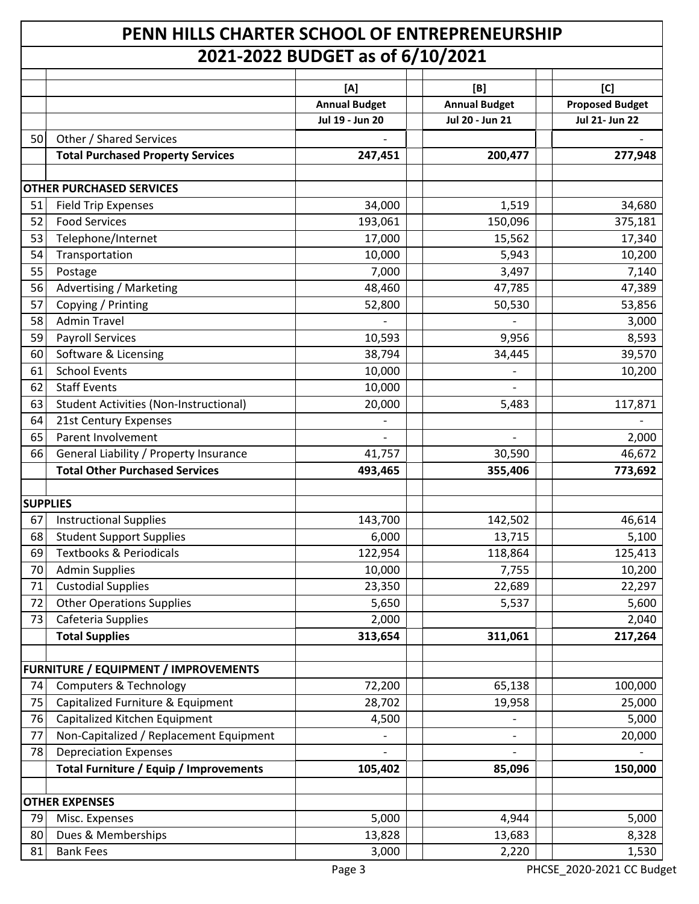## **PENN HILLS CHARTER SCHOOL OF ENTREPRENEURSHIP 2021-2022 BUDGET as of 6/10/2021**

|                 | ZUZI-ZUZZ DODOLI G3 01 07 IU7 ZUZI            |                      |                      |                        |  |  |
|-----------------|-----------------------------------------------|----------------------|----------------------|------------------------|--|--|
|                 |                                               | [A]                  | [B]                  | [C]                    |  |  |
|                 |                                               | <b>Annual Budget</b> | <b>Annual Budget</b> | <b>Proposed Budget</b> |  |  |
|                 |                                               | Jul 19 - Jun 20      | Jul 20 - Jun 21      | <b>Jul 21- Jun 22</b>  |  |  |
| 50              | Other / Shared Services                       |                      |                      |                        |  |  |
|                 | <b>Total Purchased Property Services</b>      | 247,451              | 200,477              | 277,948                |  |  |
|                 |                                               |                      |                      |                        |  |  |
|                 | <b>OTHER PURCHASED SERVICES</b>               |                      |                      |                        |  |  |
| 51              | <b>Field Trip Expenses</b>                    | 34,000               | 1,519                | 34,680                 |  |  |
| 52              | <b>Food Services</b>                          | 193,061              | 150,096              | 375,181                |  |  |
| 53              | Telephone/Internet                            | 17,000               | 15,562               | 17,340                 |  |  |
| 54              | Transportation                                | 10,000               | 5,943                | 10,200                 |  |  |
| 55              | Postage                                       | 7,000                | 3,497                | 7,140                  |  |  |
| 56              | Advertising / Marketing                       | 48,460               | 47,785               | 47,389                 |  |  |
| 57              | Copying / Printing                            | 52,800               | 50,530               | 53,856                 |  |  |
| 58              | <b>Admin Travel</b>                           |                      |                      | 3,000                  |  |  |
| 59              | <b>Payroll Services</b>                       | 10,593               | 9,956                | 8,593                  |  |  |
| 60              | Software & Licensing                          | 38,794               | 34,445               | 39,570                 |  |  |
| 61              | <b>School Events</b>                          | 10,000               |                      | 10,200                 |  |  |
| 62              | <b>Staff Events</b>                           | 10,000               |                      |                        |  |  |
| 63              | <b>Student Activities (Non-Instructional)</b> | 20,000               | 5,483                | 117,871                |  |  |
| 64              | 21st Century Expenses                         |                      |                      |                        |  |  |
| 65              | Parent Involvement                            |                      |                      | 2,000                  |  |  |
| 66              | General Liability / Property Insurance        | 41,757               | 30,590               | 46,672                 |  |  |
|                 | <b>Total Other Purchased Services</b>         | 493,465              | 355,406              | 773,692                |  |  |
| <b>SUPPLIES</b> |                                               |                      |                      |                        |  |  |
| 67              | <b>Instructional Supplies</b>                 | 143,700              | 142,502              | 46,614                 |  |  |
| 68              | <b>Student Support Supplies</b>               | 6,000                | 13,715               | 5,100                  |  |  |
| 69              | <b>Textbooks &amp; Periodicals</b>            | 122,954              | 118,864              | 125,413                |  |  |
| 70              | <b>Admin Supplies</b>                         | 10,000               | 7,755                | 10,200                 |  |  |
| 71              | <b>Custodial Supplies</b>                     | 23,350               | 22,689               | 22,297                 |  |  |
| 72              | <b>Other Operations Supplies</b>              | 5,650                | 5,537                | 5,600                  |  |  |
| 73              | Cafeteria Supplies                            | 2,000                |                      | 2,040                  |  |  |
|                 | <b>Total Supplies</b>                         | 313,654              | 311,061              | 217,264                |  |  |
|                 |                                               |                      |                      |                        |  |  |
|                 | FURNITURE / EQUIPMENT / IMPROVEMENTS          |                      |                      |                        |  |  |
| 74              | <b>Computers &amp; Technology</b>             | 72,200               | 65,138               | 100,000                |  |  |
| 75              | Capitalized Furniture & Equipment             | 28,702               | 19,958               | 25,000                 |  |  |
| 76              | Capitalized Kitchen Equipment                 | 4,500                |                      | 5,000                  |  |  |
| 77              | Non-Capitalized / Replacement Equipment       |                      |                      | 20,000                 |  |  |
| 78              | <b>Depreciation Expenses</b>                  |                      |                      |                        |  |  |
|                 | <b>Total Furniture / Equip / Improvements</b> | 105,402              | 85,096               | 150,000                |  |  |
|                 |                                               |                      |                      |                        |  |  |
|                 | <b>OTHER EXPENSES</b>                         |                      |                      |                        |  |  |
| 79              | Misc. Expenses                                | 5,000                | 4,944                | 5,000                  |  |  |
| 80              | Dues & Memberships                            | 13,828               | 13,683               | 8,328                  |  |  |
| 81              | <b>Bank Fees</b>                              | 3,000                | 2,220                | 1,530                  |  |  |